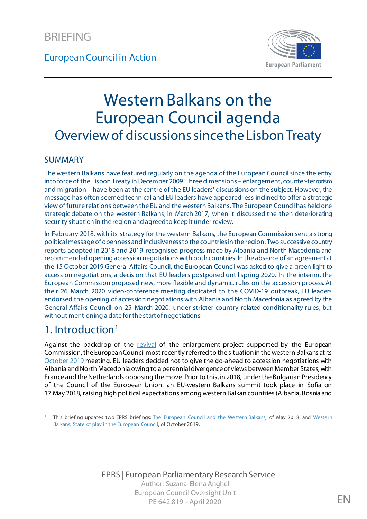

# Western Balkans on the European Council agenda Overview of discussions since the Lisbon Treaty

#### SUMMARY

The western Balkans have featured regularly on the agenda of the European Council since the entry into force of the Lisbon Treaty in December 2009. Three dimensions – enlargement, counter-terrorism and migration – have been at the centre of the EU leaders' discussions on the subject. However, the message has often seemed technical and EU leaders have appeared less inclined to offer a strategic view of future relations between the EU and the western Balkans. The European Council has held one strategic debate on the western Balkans, in March 2017, when it discussed the then deteriorating security situation in the region and agreed to keep it under review.

In February 2018, with its strategy for the western Balkans, the European Commission sent a strong political message of openness and inclusiveness to the countries in the region. Two successive country reports adopted in 2018 and 2019 recognised progress made by Albania and North Macedonia and recommended opening accession negotiations with both countries. In the absence of an agreement at the 15 October 2019 General Affairs Council, the European Council was asked to give a green light to accession negotiations, a decision that EU leaders postponed until spring 2020. In the interim, the European Commission proposed new, more flexible and dynamic, rules on the accession process. At their 26 March 2020 video-conference meeting dedicated to the COVID-19 outbreak, EU leaders endorsed the opening of accession negotiations with Albania and North Macedonia as agreed by the General Affairs Council on 25 March 2020, under stricter country-related conditionality rules, but without mentioning a date for the start of negotiations.

# [1](#page-0-0). Introduction $<sup>1</sup>$ </sup>

1

Against the backdrop of the [revival](http://europa.eu/rapid/press-release_IP-18-561_en.htm) of the enlargement project supported by the European Commission, the European Council most recently referred to the situation in the western Balkans at its [October 2019](https://www.europarl.europa.eu/RegData/etudes/BRIE/2019/631770/EPRS_BRI(2019)631770_EN.pdf) meeting. EU leaders decided not to give the go-ahead to accession negotiations with Albania and North Macedonia owing to a perennial divergence of views between Member States, with France and the Netherlands opposing the move. Prior to this, in 2018, under the Bulgarian Presidency of the Council of the European Union, an EU-western Balkans summit took place in Sofia on 17 May 2018, raising high political expectations among western Balkan countries (Albania, Bosnia and

<span id="page-0-0"></span><sup>1</sup> This briefing updates two EPRS briefings: [The European Council and the Western Balkans,](http://www.europarl.europa.eu/thinktank/en/document.html?reference=EPRS_BRI(2018)615678) of May 2018, and [Western](https://www.europarl.europa.eu/RegData/etudes/BRIE/2019/631770/EPRS_BRI(2019)631770_EN.pdf)  [Balkans: State of play in the European Council,](https://www.europarl.europa.eu/RegData/etudes/BRIE/2019/631770/EPRS_BRI(2019)631770_EN.pdf) of October 2019.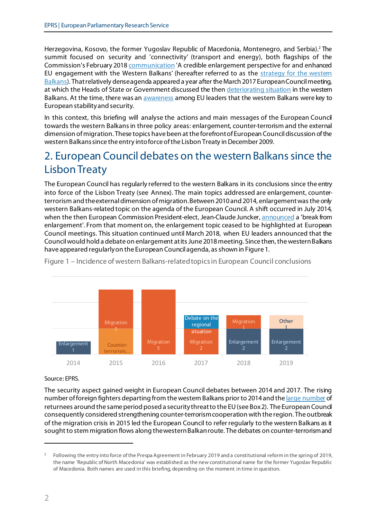Herzegovina, Kosovo, the former Yugoslav Republic of Macedonia, Montenegro, and Serbia).<sup>[2](#page-1-0)</sup> The summit focused on security and 'connectivity' (transport and energy), both flagships of the Commission's February 201[8 communication](http://eur-lex.europa.eu/legal-content/EN/TXT/?uri=CELEX:52018DC0065) 'A credible enlargement perspective for and enhanced EU engagement with the Western Balkans' (hereafter referred to as the [strategy for the western](https://ec.europa.eu/commission/news/strategy-western-balkans-2018-feb-06_en)  [Balkans\)](https://ec.europa.eu/commission/news/strategy-western-balkans-2018-feb-06_en). That relatively dense agenda appeared a year after the March 2017 European Councilmeeting, at which the Heads of State or Government discussed the the[n deteriorating situation](https://www.ceps.eu/ceps-publications/decisive-year-eus-re-engagement-western-balkans/) in the western Balkans. At the time, there was a[n awareness](http://www.europarl.europa.eu/RegData/etudes/BRIE/2017/598607/EPRS_BRI(2017)598607_EN.pdf) among EU leaders that the western Balkans were key to European stability and security.

In this context, this briefing will analyse the actions and main messages of the European Council towards the western Balkans in three policy areas: enlargement, counter-terrorism and the external dimension of migration. These topics have been at the forefront of European Council discussion of the western Balkans since the entry into force of the Lisbon Treaty in December 2009.

# 2. European Council debates on the western Balkans since the Lisbon Treaty

The European Council has regularly referred to the western Balkans in its conclusions since the entry into force of the Lisbon Treaty (see Annex). The main topics addressed are enlargement, counterterrorism and the external dimension of migration.Between 2010 and 2014, enlargement was the only western Balkans-related topic on the agenda of the European Council. A shift occurred in July 2014, when the then European Commission President-elect, Jean-Claude Juncker[, announced](https://ec.europa.eu/commission/sites/beta-political/files/juncker-political-guidelines-speech_en.pdf) a 'break from enlargement'. From that moment on, the enlargement topic ceased to be highlighted at European Council meetings. This situation continued until March 2018, when EU leaders announced that the Council would hold a debate on enlargement at its June 2018 meeting. Since then, the westernBalkans have appeared regularly on the European Council agenda, as shown in Figure 1.



Figure 1 – Incidence of western Balkans-related topics in European Council conclusions

#### Source: EPRS.

The security aspect gained weight in European Council debates between 2014 and 2017. The rising number of foreign fighters departing from the western Balkans prior to 2014 and th[e large number](http://stratpol.sk/wp-content/uploads/2018/01/Metodieva_Returnees_Western_Balkans_Stratpol_FINAL.pdf) of returnees around the same period posed a security threat to the EU (see Box 2). The European Council consequently considered strengthening counter-terrorism cooperation with the region. The outbreak of the migration crisis in 2015 led the European Council to refer regularly to the western Balkans as it sought to stem migration flows along the western Balkanroute. The debates on counter-terrorism and

1

<span id="page-1-0"></span><sup>&</sup>lt;sup>2</sup> Following the entry into force of the Prespa Agreement in February 2019 and a constitutional reform in the spring of 2019, the name 'Republic of North Macedonia' was established as the new constitutional name for the former Yugoslav Republic of Macedonia. Both names are used in this briefing, depending on the moment in time in question.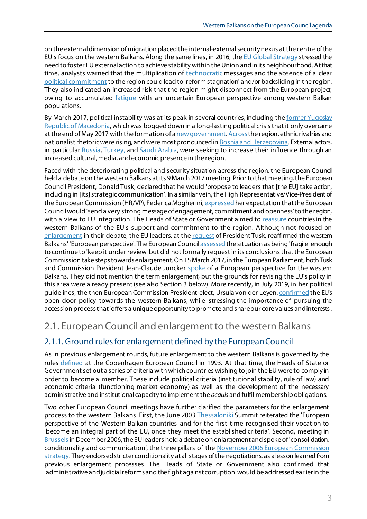on the external dimension of migration placed the internal-external security nexus at the centre of the EU's focus on the western Balkans. Along the same lines, in 2016, th[e EU Global Strategy](https://europa.eu/globalstrategy/en/global-strategy-foreign-and-security-policy-european-union) stressed the need to foster EU external action to achieve stability within the Union and in its neighbourhood. At that time, analysts warned that the multiplication of [technocratic](https://www.ceps.eu/system/files/PI%202018-01_Fouere%20_Western%20Balkans.pdf) messages and the absence of a clear [political commitment](https://www.cablemagazine.scot/the-eu-and-the-western-balkans/) to the region could lead to 'reform stagnation' and/or backsliding in the region. They also indicated an increased risk that the region might disconnect from the European project, owing to accumulated [fatigue](https://www.euractiv.com/section/enlargement/news/balkan-citizens-doubt-they-will-ever-join-eu/) with an uncertain European perspective among western Balkan populations.

By March 2017, political instability was at its peak in several countries, including the former Yugoslav [Republic of Ma](http://www.europarl.europa.eu/RegData/etudes/BRIE/2016/595847/EPRS_BRI(2016)595847_EN.pdf)cedonia, which was bogged down in a long-lasting political crisis that it only overcame at the end of May 2017 with the formation of [a new government](https://www.nytimes.com/2017/06/01/world/europe/macedonia-zoran-zaev-election.html)[. Across](https://www.courrierinternational.com/article/balkans-serbie-croatie-gare-aux-nationalistes) the region, ethnic rivalries and nationalist rhetoric were rising, and were most pronounced in **Bosnia and Herzegovina**. External actors, in particula[r Russia](http://carnegieeurope.eu/strategiceurope/74612)[, Turkey,](http://www.europarl.europa.eu/thinktank/en/document.html?reference=EPRS_ATA%282017%29607300) and [Saudi Arabia,](http://www.europarl.europa.eu/RegData/etudes/ATAG/2017/614582/EPRS_ATA(2017)614582_EN.pdf) were seeking to increase their influence through an increased cultural, media, and economic presence in the region.

Faced with the deteriorating political and security situation across the region, the European Council held a debate on the western Balkans at its 9 March 2017 meeting. Prior to that meeting, the European Council President, Donald Tusk, declared that he would 'propose to leaders that [the EU] take action, including in [its] strategic communication'. In a similar vein, the High Representative/Vice-President of the European Commission (HR/VP), Federica Mogherin[i, expressed](https://tvnewsroom.consilium.europa.eu/event/european-council-march-2017-166a3/arrival-and-doorstep-eu-hr-mogherini-16814) her expectation that the European Council would 'send a very strong message of engagement, commitment and openness' to the region, with a view to EU integration. The Heads of State or Government aimed t[o reassure](http://www.europarl.europa.eu/RegData/etudes/BRIE/2017/598606/EPRS_BRI(2017)598606_EN.pdf) countries in the western Balkans of the EU's support and commitment to the region. Although not focused on [enlargement](http://www.eprs.sso.ep.parl.union.eu/eprs/data/db_file/Pre-summit%20Briefing%202017.2.pdf?id=66410) in their debate, the EU leaders, at the [request](http://www.consilium.europa.eu/en/press/press-releases/2017/03/09/tusk-remarks-european-council/) of President Tusk, reaffirmed the western Balkans' 'European perspective'. The European Counc[il assessed](http://www.consilium.europa.eu/en/press/press-releases/2017/03/10/conclusion-pec/) the situation as being 'fragile' enough to continue to 'keep it under review' but did not formally request in its conclusions that the European Commission take steps towards enlargement. On 15 March 2017, in the European Parliament, both Tusk and Commission President Jean-Claude Juncke[r spoke](http://www.europarl.europa.eu/plenary/EN/vod.html?mode=chapter&vodLanguage=EN&startTime=20170315-09:15:14-357) of a European perspective for the western Balkans. They did not mention the term enlargement, but the grounds for revising the EU's policy in this area were already present (see also Section 3 below). More recently, in July 2019, in her political guidelines, the then European Commission President-elect, Ursula von der Leyen[, confirmed](https://ec.europa.eu/commission/sites/beta-political/files/political-guidelines-next-commission_en.pdf) the EU's open door policy towards the western Balkans, while stressing the importance of pursuing the accession process that 'offers a unique opportunity to promote and share our core values and interests'.

### 2.1. European Council and enlargement to the western Balkans

#### 2.1.1. Ground rules for enlargement defined by the European Council

As in previous enlargement rounds, future enlargement to the western Balkans is governed by the rules [defined](http://www.consilium.europa.eu/media/21225/72921.pdf) at the Copenhagen European Council in 1993. At that time, the Heads of State or Government set out a series of criteria with which countries wishing to join the EU were to comply in order to become a member. These include political criteria (institutional stability, rule of law) and economic criteria (functioning market economy) as well as the development of the necessary administrative and institutional capacity to implement the *acquis* and fulfil membership obligations.

Two other European Council meetings have further clarified the parameters for the enlargement process to the western Balkans. First, the June 2003 [Thessaloniki](https://www.consilium.europa.eu/media/20847/76279.pdf) Summit reiterated the 'European perspective of the Western Balkan countries' and for the first time recognised their vocation to 'become an integral part of the EU, once they meet the established criteria'. Second, meeting in [Brussels](http://data.consilium.europa.eu/doc/document/ST-16879-2006-REV-1/en/pdf)in December 2006, the EU leaders held a debate on enlargement and spoke of 'consolidation, conditionality and communication', the three pillars of the November 2006 European Commission [strategy](http://eur-lex.europa.eu/legal-content/EN/TXT/?uri=CELEX:52006DC0649). They endorsed stricter conditionality at all stages of the negotiations, as a lesson learned from previous enlargement processes. The Heads of State or Government also confirmed that 'administrative and judicial reforms and the fight against corruption' would be addressed earlier in the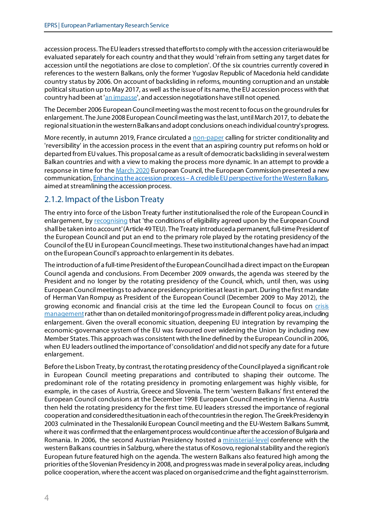accession process. The EU leaders stressed that efforts to comply with the accession criteria would be evaluated separately for each country and that they would 'refrain from setting any target dates for accession until the negotiations are close to completion'. Of the six countries currently covered in references to the western Balkans, only the former Yugoslav Republic of Macedonia held candidate country status by 2006. On account of backsliding in reforms, mounting corruption and an unstable political situation up to May 2017, as well as the issue of its name, the EU accession process with that country had been a[t 'an impasse'](http://eur-lex.europa.eu/legal-content/EN/TXT/?qid=1447953217268&uri=CELEX:52015DC0611), and accession negotiations have still not opened.

The December 2006 European Council meeting was the most recent to focus on the ground rules for enlargement. The June 2008 European Council meeting was the last, until March 2017, to debate the regional situation in the westernBalkans and adopt conclusions on each individual country's progress.

More recently, in autumn 2019, France circulated a [non-paper](https://g8fip1kplyr33r3krz5b97d1-wpengine.netdna-ssl.com/wp-content/uploads/2019/11/Enlargement-nonpaper.pdf) calling for stricter conditionality and 'reversibility' in the accession process in the event that an aspiring country put reforms on hold or departed from EU values. This proposal came as a result of democratic backsliding in several western Balkan countries and with a view to making the process more dynamic. In an attempt to provide a response in time for th[e March 2020](https://www.consilium.europa.eu/en/meetings/european-council/2020/03/26-27/) European Council, the European Commission presented a new communication, Enhancing the accession process - A credible EU perspective for the Western Balkans, aimed at streamlining the accession process.

### 2.1.2. Impact of the Lisbon Treaty

The entry into force of the Lisbon Treaty further institutionalised the role of the European Council in enlargement, b[y recognising](http://www.lisbon-treaty.org/wcm/the-lisbon-treaty/treaty-on-european-union-and-comments/title-6-final-provisions/136-article-49.html) that 'the conditions of eligibility agreed upon by the European Coundi shall be taken into account' (Article 49 TEU). The Treaty introduced a permanent, full-time President of the European Council and put an end to the primary role played by the rotating presidency of the Council of the EU in European Council meetings. These two institutional changes have had an impact on the European Council's approach to enlargement in its debates.

The introduction of a full-time President of the European Council had a direct impact on the European Council agenda and conclusions. From December 2009 onwards, the agenda was steered by the President and no longer by the rotating presidency of the Council, which, until then, was using European Council meetings to advance presidency priorities at least in part. During the first mandate of Herman Van Rompuy as President of the European Council (December 2009 to May 2012), the growing economic and financial [crisis](http://www.europarl.europa.eu/RegData/etudes/IDAN/2016/573283/EPRS_IDA(2016)573283_EN.pdf) at the time led the European Council to focus on crisis [management](http://www.europarl.europa.eu/RegData/etudes/IDAN/2016/573283/EPRS_IDA(2016)573283_EN.pdf)rather than on detailed monitoring of progress made in different policy areas, including enlargement. Given the overall economic situation, deepening EU integration by revamping the economic-governance system of the EU was favoured over widening the Union by including new Member States. This approach was consistent with the line defined by the European Council in 2006, when EU leaders outlined the importance of 'consolidation' and did not specify any date for a future enlargement.

Before the Lisbon Treaty, by contrast, the rotating presidency of the Council played a significant role in European Council meeting preparations and contributed to shaping their outcome. The predominant role of the rotating presidency in promoting enlargement was highly visible, for example, in the cases of Austria, Greece and Slovenia. The term 'western Balkans' first entered the European Council conclusions at the December 1998 European Council meeting in Vienna. Austria then held the rotating presidency for the first time. EU leaders stressed the importance of regional cooperation and considered the situation in each of the countries in the region. The Greek Presidency in 2003 culminated in the Thessaloniki European Council meeting and th[e EU-Western](http://europa.eu/rapid/press-release_PRES-03-163_en.htm) Balkans Summit, where it was confirmed that the enlargement process would continue after the accession of Bulgaria and Romania. In 2006, the second Austrian Presidency hosted a [ministerial-level](https://euobserver.com/political/21094) conference with the western Balkans countries in Salzburg, where the status of Kosovo, regional stability and the region's European future featured high on the [agenda.](http://www.eu2006.at/en/News/Press_Releases/March/1103EUWesternBalkansStatement.html) The western Balkans also featured high among the [priorities](http://www.eu2008.si/en/News_and_Documents/Press_Releases/June/0630SVEZdosezki.html) of the Slovenian Presidency in 2008, and progress was made in several policy areas, including police cooperation, where the accent was placed on organised crime and the fight against terrorism.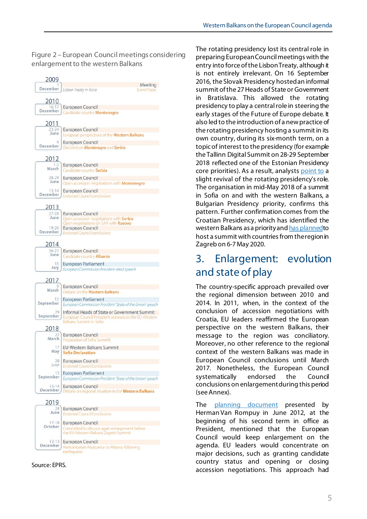#### Figure 2 – European Council meetings considering enlargement to the western Balkans



Source: EPRS.

The rotating presidency lost its central role in preparing European Council meetings with the entry into force of the Lisbon Treaty, although it is not entirely irrelevant. On 16 September 2016, the Slovak Presidency hosted an informal summit of the 27 Heads of State or Government in Bratislava. This allowed the rotating presidency to play a central role in steering the early stages of the Future of Europe debate. It also led to the introduction of a new practice of the rotating presidency hosting a summit in its own country, during its six-month term, on a topic of interest to the presidency (for example the Tallinn Digital Summit on 28-29 September 2018 reflected one of the Estonian Presidency core priorities). As a result, analyst[s point to](http://www.europarl.europa.eu/RegData/etudes/IDAN/2017/598613/EPRS_IDA(2017)598613_EN.pdf) a slight revival of the rotating presidency's role. The organisation in mid-May 2018 of a summit in Sofia on and with the western Balkans, a Bulgarian Presidency priority, confirms this pattern. Further confirmation comes from the Croatian Presidency, which has identified the western Balkans as a priority an[d has plannedt](https://www.consilium.europa.eu/en/meetings/international-summit/2020/05/05-07/)o host a summit with countries from the region in Zagreb on 6-7 May 2020.

# 3. Enlargement: evolution and state of play

The country-specific approach prevailed over the regional dimension between 2010 and 2014. In 2011, when, in the context of the conclusion of accession negotiations with Croatia, EU leaders reaffirmed the European perspective on the western Balkans, their message to the region was conciliatory. Moreover, no other reference to the regional context of the western Balkans was made in European Council conclusions until March 2017. Nonetheless, the European Council systematically endorsed the Council conclusions on enlargement during this period (see Annex).

The [planning document](http://www.consilium.europa.eu/uedocs/cms_data/docs/pressdata/en/ec/131539.pdf) presented by Herman Van Rompuy in June 2012, at the beginning of his second term in office as President, mentioned that the European Council would keep enlargement on the agenda. EU leaders would concentrate on major decisions, such as granting candidate country status and opening or closing accession negotiations. This approach had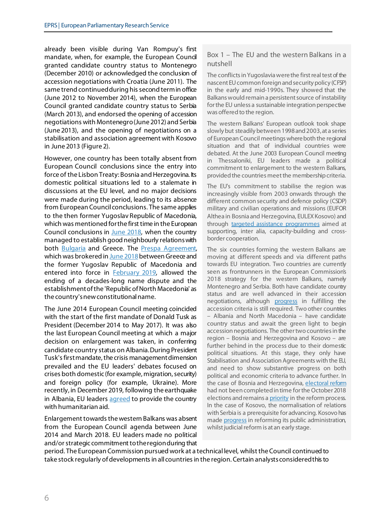already been visible during Van Rompuy's first mandate, when, for example, the European Council granted candidate country status to Montenegro (December 2010) or acknowledged the conclusion of accession negotiations with Croatia (June 2011). The same trend continued during his second term in office (June 2012 to November 2014), when the European Council granted candidate country status to Serbia (March 2013), and endorsed the opening of accession negotiations with Montenegro (June 2012) and Serbia (June 2013), and the opening of negotiations on a stabilisation and association agreement with Kosovo in June 2013 (Figure 2).

However, one country has been totally absent from European Council conclusions since the entry into force of the Lisbon Treaty: Bosnia and Herzegovina. Its domestic political situations led to a stalemate in discussions at the EU level, and no major decisions were made during the period, leading to its absence from European Council conclusions. The same applies to the then former Yugoslav Republic of Macedonia, which was mentioned for the first time in the European Council conclusions in [June 2018,](https://www.consilium.europa.eu/en/press/press-releases/2018/06/29/20180628-euco-conclusions-final/) when the country managed to establish good neighbourly relations with both [Bulgaria](https://europeanwesternbalkans.com/2018/02/14/agreement-macedonia-bulgaria-enters-force/) and Greece. The [Prespa Agreement,](http://www.ekathimerini.com/resources/article-files/aggliko-1.pdf) which was brokered i[n June](https://www.theguardian.com/world/2018/jun/17/macedonia-greece-dispute-name-accord-prespa) 2018 between Greece and the former Yugoslav Republic of Macedonia and entered into force in **February 2019</u>**, allowed the ending of a decades-long name dispute and the establishment of the 'Republic of North Macedonia' as the country's new constitutional name.

The June 2014 European Council meeting coincided with the start of the first mandate of Donald Tusk as President (December 2014 to May 2017). It was also the last European Council meeting at which a major decision on enlargement was taken, in conferring candidate country status on Albania. During President Tusk's first mandate, the crisis management dimension prevailed and the EU leaders' debates focused on crises both domestic (for example, migration, security) and foreign policy (for example, Ukraine). More recently, in December 2019, following the earthquake in Albania, EU leaders [agreed](https://www.europarl.europa.eu/thinktank/en/document.html?reference=EPRS_BRI(2019)642811) to provide the country with humanitarian aid.

Enlargement towards the western Balkans was absent from the European Council agenda between June 2014 and March 2018. EU leaders made no political and/or strategic commitment to the region during that

#### Box 1 – The EU and the western Balkans in a nutshell

The conflicts in Yugoslavia were the first real test of the nascent EU common foreign and security policy (CFSP) in the early and mid-1990s. They showed that the Balkans would remain a persistent source of instability for the EU unless a sustainable integration perspective was offered to the region.

The western Balkans' European outlook took shape slowly but steadily between 1998 and 2003, at a series of European Council meetings where both the regional situation and that of individual countries were debated. At the June 2003 European Council meeting in Thessaloniki, EU leaders made a political commitment to enlargement to the western Balkans, provided the countries meet the membership criteria.

The EU's commitment to stabilise the region was increasingly visible from 2003 onwards through the different common security and defence policy (CSDP) military and civilian operations and missions (EUFOR Althea in Bosnia and Herzegovina, EULEX Kosovo) and through [targeted assistance programmes](http://ec.europa.eu/regional_policy/en/funding/ipa/) aimed at supporting, inter alia, capacity-building and crossborder cooperation.

The six countries forming the western Balkans are moving at different speeds and via different paths towards EU integration. Two countries are currently seen as frontrunners in the European Commission's 2018 strategy for the western Balkans, namely Montenegro and Serbia. Both have candidate country status and are well advanced in their accession negotiations, although [progress](http://europa.eu/rapid/press-release_IP-18-3342_en.htm) in fulfilling the accession criteria is still required. Two other countries – Albania and North Macedonia – have candidate country status and await the green light to begin accession negotiations. The other two countries in the region – Bosnia and Herzegovina and Kosovo – are further behind in the process due to their domestic political situations. At this stage, they only have Stabilisation and Association Agreements with the EU, and need to show substantive progress on both political and economic criteria to advance further. In the case of Bosnia and Herzegovina[, electoral reform](https://ec.europa.eu/neighbourhood-enlargement/sites/near/files/20180417-bosnia-and-herzegovina-report.pdf) had not been completed in time for the October 2018 elections and remains [a priority](https://ec.europa.eu/neighbourhood-enlargement/sites/near/files/20190529-bosnia-and-herzegovina-analytical-report.pdf) in the reform process. In the case of Kosovo, the normalisation of relations with Serbia is a prerequisite for advancing. Kosovo has mad[e progress](https://ec.europa.eu/neighbourhood-enlargement/sites/near/files/20190529-kosovo-report.pdf) in reforming its public administration, whilst judicial reform is at an early stage.

period. The European Commission pursued work at a technical level, whilst the Council continued to take stock regularly of developments in all countries in the region. Certain analysts considered this to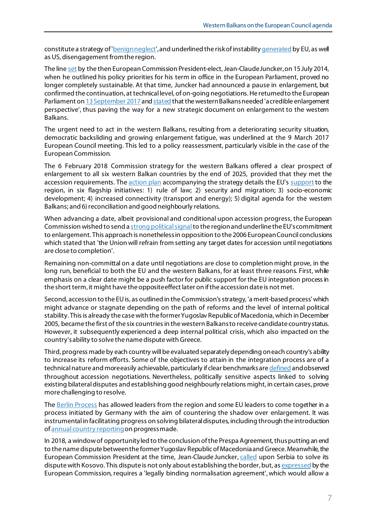constitute a strategy o[f 'benign neglect'](http://carnegieeurope.eu/strategiceurope/57301?lang=en), and underlined the risk of instabilit[y generated](https://europeanwesternbalkans.com/2017/03/22/eu-disturbed-by-new-balkan-instability-and-geopolitics-hidden-contradictions/) by EU, as well as US, disengagement from the region.

The lin[e set](https://ec.europa.eu/commission/sites/beta-political/files/juncker-political-guidelines-speech_en.pdf) by the then European Commission President-elect, Jean-ClaudeJuncker, on 15 July 2014, when he outlined his policy priorities for his term in office in the European Parliament, proved no longer completely sustainable. At that time, Juncker had announced a pause in enlargement, but confirmed the continuation, at technical level, of on-going negotiations. He returned to the European Parliament o[n 13 September 2017](http://europa.eu/rapid/press-release_SPEECH-17-3165_en.htm) an[d stated](http://europa.eu/rapid/press-release_SPEECH-17-3165_en.htm) that the western Balkans needed 'a credible enlargement perspective', thus paving the way for a new strategic document on enlargement to the western Balkans.

The urgent need to act in the western Balkans, resulting from a deteriorating security situation, democratic backsliding and growing enlargement fatigue, was underlined at the 9 March 2017 European Council meeting. This led to a policy reassessment, particularly visible in the case of the European Commission.

The 6 February 2018 Commission strategy for the western Balkans offered a clear prospect of enlargement to all six western Balkan countries by the end of 2025, provided that they met the accession requirements. Th[e action plan](https://ec.europa.eu/commission/sites/beta-political/files/annex-communication-credible-enlargement-perspective-western-balkans_en.pdf) accompanying the strategy details the EU'[s support](https://ec.europa.eu/commission/sites/beta-political/files/six-flagship-initiatives-support-transformation-western-balkans_en.pdf) to the region, in six flagship initiatives: 1) rule of law; 2) security and migration; 3) socio-economic development; 4) increased connectivity (transport and energy); 5) digital agenda for the western Balkans; and 6) reconciliation and good neighbourly relations.

When advancing a date, albeit provisional and conditional upon accession progress, the European Commission wished to send [a strong political signal](https://www.euractiv.com/section/enlargement/news/juncker-tells-balkan-states-2025-entry-possible-for-all/)to the region and underline the EU's commitment to enlargement. This approach is nonetheless in opposition to the 2006 European Council conclusions which stated that 'the Union will refrain from setting any target dates for accession until negotiations are close to completion'.

Remaining non-committal on a date until negotiations are close to completion might prove, in the long run, beneficial to both the EU and the western Balkans, for at least three reasons. First, while emphasis on a clear date might be a push factor for public support for the EU integration process in the short term, it might have the opposite effect later on if the accession date is not met.

Second, accession to the EU is, as outlined in the Commission's strategy, 'a merit-based process' which might advance or stagnate depending on the path of reforms and the level of internal political stability. This is already the case with the former Yugoslav Republic of Macedonia, which in December 2005, became the first of the six countries in the western Balkans to receive candidate country status. However, it subsequently experienced a deep internal political crisis, which also impacted on the country's ability to solve the name dispute with Greece.

Third, progress made by each country will be evaluated separately depending on each country's ability to increase its reform efforts. Some of the objectives to attain in the integration process are of a technical nature and more easily achievable, particularly if clear benchmarks ar[e defined](https://www.tandfonline.com/doi/pdf/10.1080/07036330802503908?needAccess=true) and observed throughout accession negotiations. Nevertheless, politically sensitive aspects linked to solving existing bilateral disputes and establishing good neighbourly relations might, in certain cases, prove more challenging to resolve.

The [Berlin Process](http://library.fes.de/pdf-files/bueros/sarajevo/13948.pdf) has allowed leaders from the region and some EU leaders to come together in a process initiated by Germany with the aim of countering the shadow over enlargement. It was instrumental in facilitating progress on solving bilateral disputes, including through the introduction o[f annual country reporting](http://www.suedosteuropa.uni-graz.at/biepag/node/249)on progress made.

In 2018, a window of opportunity led to the conclusion of the Prespa Agreement, thus putting an end to the name dispute between the former Yugoslav Republic of Macedonia and Greece. Meanwhile, the European Commission President at the time, Jean-Claude Juncker[, called](https://euobserver.com/tickers/141125) upon Serbia to solve its dispute with Kosovo. This dispute is not only about establishing the border, but, a[s expressed](https://ec.europa.eu/commission/sites/beta-political/files/communication-credible-enlargement-perspective-western-balkans_en.pdf) by the European Commission, requires a 'legally binding normalisation agreement', which would allow a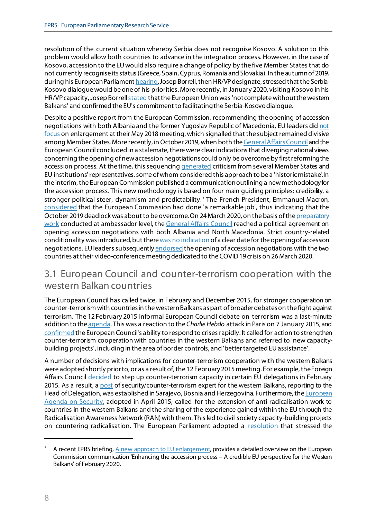resolution of the current situation whereby Serbia does not recognise Kosovo. A solution to this problem would allow both countries to advance in the integration process. However, in the case of Kosovo, accession to the EU would also require a change of policy by the five Member States that do not currently recognise its status (Greece, Spain, Cyprus, Romania and Slovakia). In the autumn of 2019, during his European Parliamen[t hearing](http://www.europarl.europa.eu/news/en/press-room/20190926IPR62260/hearing-with-high-representative-vice-president-designate-josep-borrell), Josep Borrell, then HR/VP designate, stressed that the Serbia-Kosovo dialogue would be one of his priorities. More recently, in January 2020, visiting Kosovo in his HR/VP capacity, Josep Borrel[l stated](https://eeas.europa.eu/regions/western-balkans/73726/hrvp-borrell-kosovo-european-union-not-complete-without-western-balkans_en) that the European Union was 'not complete without the western Balkans' and confirmed the EU's commitment to facilitating the Serbia-Kosovo dialogue.

Despite a positive report from the European Commission, recommending the opening of accession negotiations with both Albania and the former Yugoslav Republic of Macedonia, EU leaders did [not](https://eeas.europa.eu/headquarters/headquarters-homepage/43064/remarks-hrvp-federica-mogherini-college-read-out-present-2018-enlargement-package-together_en)  [focus](https://eeas.europa.eu/headquarters/headquarters-homepage/43064/remarks-hrvp-federica-mogherini-college-read-out-present-2018-enlargement-package-together_en) on enlargement at their May 2018 meeting, which signalled that the subject remained divisive among Member States. More recently, in October 2019, when both th[e General Affairs Council](https://www.consilium.europa.eu/en/meetings/gac/2019/10/15/) and the European Council concluded in a stalemate, there were clear indications that diverging national views concerning the opening of new accession negotiations could only be overcome by first reforming the accession process. At the time, this sequencin[g generated](https://www.europarl.europa.eu/RegData/etudes/BRIE/2019/642801/EPRS_BRI(2019)642801_EN.pdf) criticism from several Member States and EU institutions'representatives, some of whom considered this approach to be a 'historic mistake'. In the interim, the European Commission published a communication outlining a new methodology for the accession process. This new methodology is based on four main guiding principles: credibility, a stronger political steer, dynamism and predictability.<sup>[3](#page-7-0)</sup> The French President, Emmanuel Macron, [considered](https://www.politico.eu/article/macron-gives-albania-and-north-macedonia-hope-on-eu-talks/) that the European Commission had done 'a remarkable job', thus indicating that the October 2019 deadlock was about to be overcome. On 24 March 2020, on the basis of th[e preparatory](https://euobserver.com/enlargement/147821)  [work](https://euobserver.com/enlargement/147821) conducted at ambassador level, th[e General Affairs Council](https://www.consilium.europa.eu/en/meetings/gac/2020/03/24/) reached a political agreement on opening accession negotiations with both Albania and North Macedonia. Strict country-related conditionality was introduced, but ther[e was no indication](https://video.consilium.europa.eu/en/webcast/dde847ea-d1fc-44dc-8ebe-a07271d2003c) of a clear date for the opening of accession negotiations. EU leaders subsequently [endorsed](https://www.politico.eu/article/eu-closer-to-opening-talks-north-macedonia-albania/) the opening of accession negotiations with the two countries at their video-conference meeting dedicated to the COVID 19 crisis on 26 March 2020.

### 3.1 European Council and counter-terrorism cooperation with the western Balkan countries

The European Council has called twice, in February and December 2015, for stronger cooperation on counter-terrorism with countries in the westernBalkans as part of broader debates on the fight against terrorism. The 12 February 2015 informal European Council debate on terrorism was a last-minute addition to th[e agenda.](http://www.eprs.sso.ep.parl.union.eu/eprs/data/db_file/Preliminary%20Evaluation%202015.1.pdf?id=59111) This was a reaction to the *Charlie Hebdo* attack in Paris on 7 January 2015, and [confirmed](http://www.europarl.europa.eu/RegData/etudes/IDAN/2016/573283/EPRS_IDA(2016)573283_EN.pdf) the European Council's ability to respond to crises rapidly. It called for action to strengthen counter-terrorism cooperation with countries in the western Balkans and referred to 'new capacitybuilding projects', including in the area of border controls, and 'better targeted EU assistance'.

A number of decisions with implications for counter-terrorism cooperation with the western Balkans were adopted shortly prior to, or as a result of, the 12 February2015 meeting. For example, the Foreign Affairs Council [decided](http://www.consilium.europa.eu/media/23365/outcome-of-the-council-meeting_fac_150209.pdf) to step up counter-terrorism capacity in certain EU delegations in February 2015. As a result, [a post](https://www.esteri.it/mae/resource/endtemp/2016/05/notice_of_vacancy_-_security_experts_-_may16.pdf) of security/counter-terrorism expert for the western Balkans, reporting to the Head of Delegation, was established in Sarajevo, Bosnia and Herzegovina. Furthermore, the *European* [Agenda on Security,](https://ec.europa.eu/home-affairs/sites/homeaffairs/files/e-library/documents/basic-documents/docs/eu_agenda_on_security_en.pdf) adopted in April 2015, called for the extension of anti-radicalisation work to countries in the western Balkans and the sharing of the experience gained within the EU through the Radicalisation Awareness Network (RAN) with them. This led to civil society capacity-building projects on countering radicalisation. The European Parliament adopted a [resolution](http://www.europarl.europa.eu/sides/getDoc.do?type=TA&language=EN&reference=P8-TA-2015-0410) that stressed the

.

<span id="page-7-0"></span><sup>3</sup> A recent EPRS briefing[, A new approach to EU enlargement](https://www.europarl.europa.eu/thinktank/en/document.html?reference=EPRS_BRI(2020)649332), provides a detailed overview on the European Commission communication 'Enhancing the accession process – A credible EU perspective for the Western Balkans' of February 2020.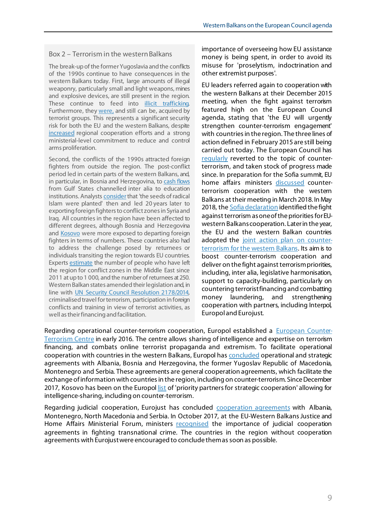#### Box 2 – Terrorism in the western Balkans

The break-up of the former Yugoslavia and the conflicts of the 1990s continue to have consequences in the western Balkans today. First, large amounts of illegal weaponry, particularly small and light weapons, mines and explosive devices, are still present in the region. These continue to feed into **illicit trafficking**. Furthermore, they [were,](https://www.europol.europa.eu/activities-services/main-reports/eu-terrorism-situation-and-trend-report-te-sat-2017) and still can be, acquired by terrorist groups. This represents a significant security risk for both the EU and the western Balkans, despite [increased](http://www.seesac.org/Regional-Cooperation/) regional cooperation efforts and a strong ministerial-level commitment to reduce and control arms proliferation.

Second, the conflicts of the 1990s attracted foreign fighters from outside the region. The post-conflict period led in certain parts of the western Balkans, and, in particular, in Bosnia and Herzegovina, t[o cash flows](http://www.mcclatchydc.com/news/nation-world/world/article24783928.html) from Gulf States channelled inter alia to education institutions. Analysts [consider](https://www.iss.europa.eu/sites/default/files/EUISSFiles/Brief%2020%20Balkan%20foreign%20fighters.pdf) that 'the seeds of radical Islam were planted' then and led 20 years later to exporting foreign fighters to conflict zones in Syria and Iraq. All countries in the region have been affected to different degrees, although Bosnia and Herzegovina and [Kosovo](http://www.qkss.org/repository/docs/Report_inquiring_into_the_causes_and_consequences_of_Kosovo_citizens%27_involvement_as_foreign_fighters_in_Syria_and_Iraq_307708.pdf) were more exposed to departing foreign fighters in terms of numbers. These countries also had to address the challenge posed by returnees or individuals transiting the region towards EU countries. Experts [estimate](http://stratpol.sk/wp-content/uploads/2018/01/Metodieva_Returnees_Western_Balkans_Stratpol_FINAL.pdf) the number of people who have left the region for conflict zones in the Middle East since 2011 at up to 1 000, and the number of returnees at 250. Western Balkan states amended their legislation and, in line with [UN Security Council Resolution 2178/2014,](https://www.un.org/press/en/2014/sc11580.doc.htm) criminalised travel for terrorism, participation in foreign conflicts and training in view of terrorist activities, as well as their financing and facilitation.

importance of overseeing how EU assistance money is being spent, in order to avoid its misuse for 'proselytism, indoctrination and other extremist purposes'.

EU leaders referred again to cooperation with the western Balkans at their December 2015 meeting, when the fight against terrorism featured high on the European Council agenda, stating that 'the EU will urgently strengthen counter-terrorism engagement' with countries in the region. The three lines of action defined in February 2015 are still being carried out today. The European Council has [regularly](http://www.europarl.europa.eu/RegData/etudes/STUD/2017/611023/EPRS_STU(2017)611023_EN.pdf) reverted to the topic of counterterrorism, and taken stock of progress made since. In preparation for the Sofia summit, EU home affairs ministers [discussed](http://www.consilium.europa.eu/en/meetings/jha/2018/03/08-09/) counterterrorism cooperation with the western Balkans at their meeting in March 2018. In May 2018, the **Sofia declaration** identified the fight against terrorism as one of the priorities for EUwestern Balkans cooperation. Later in the year, the EU and the western Balkan countries adopted the [joint action plan on counter](https://www.consilium.europa.eu/media/36546/joint-action-plan-on-ct-for-wb.pdf)[terrorism for the western Balkans](https://www.consilium.europa.eu/media/36546/joint-action-plan-on-ct-for-wb.pdf). Its aim is to boost counter-terrorism cooperation and deliver on the fight against terrorism priorities, including, inter alia, legislative harmonisation, support to capacity-building, particularly on countering terrorist financing and combatting money laundering, and strengthening cooperation with partners, including Interpol, Europol and Eurojust.

Regarding operational counter-terrorism cooperation, Europol established a [European Counter-](https://www.europol.europa.eu/about-europol/european-counter-terrorism-centre-ectc)[Terrorism Centre](https://www.europol.europa.eu/about-europol/european-counter-terrorism-centre-ectc) in early 2016. The centre allows sharing of intelligence and expertise on terrorism financing, and combats online terrorist propaganda and extremism. To facilitate operational cooperation with countries in the western Balkans, Europol ha[s concluded](https://www.europol.europa.eu/partners-agreements) operational and strategic agreements with Albania, Bosnia and Herzegovina, the former Yugoslav Republic of Macedonia, Montenegro and Serbia. These agreements are general cooperation agreements, which facilitate the exchange of information with countries in the region, including on counter-terrorism. Since December 2017, Kosovo has been on the Europo[l list](https://eeas.europa.eu/headquarters/headquarters-homepage/37474/european-union-officials-visit-kosovo-discuss-security-counter-terrorism-and-countering_en) of 'priority partners for strategic cooperation' allowing for intelligence-sharing, including on counter-terrorism.

Regarding judicial cooperation, Eurojust has concluded [cooperation agreements](http://www.eurojust.europa.eu/about/legal-framework/Pages/eurojust-legal-framework.aspx#partners) with Albania, Montenegro, North Macedonia and Serbia. In October 2017, at the EU-Western Balkans Justice and Home Affairs Ministerial Forum, ministers [recognised](http://ec.europa.eu/newsroom/just/item-detail.cfm?item_id=606474) the importance of judicial cooperation agreements in fighting transnational crime. The countries in the region without cooperation agreements with Eurojust were encouraged to conclude them as soon as possible.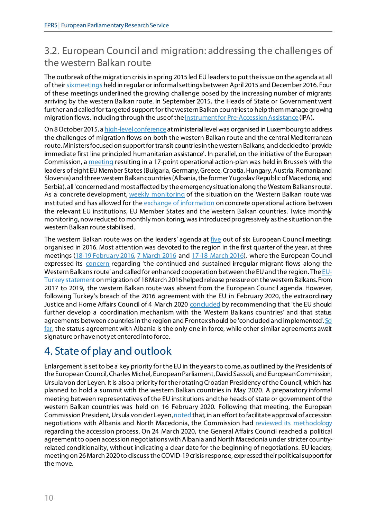# 3.2. European Council and migration: addressing the challenges of the western Balkan route

The outbreak of the migration crisis in spring 2015 led EU leaders to put the issue on the agenda at all of thei[r six meetings](http://www.europarl.europa.eu/RegData/etudes/IDAN/2016/581406/EPRS_IDA(2016)581406_EN.pdf) held in regular or informal settings between April2015 and December 2016. Four of these meetings underlined the growing challenge posed by the increasing number of migrants arriving by the western Balkan route. In September 2015, the Heads of State or Government went further and called for targeted support for the western Balkan countries to help them manage growing migration flows, including through the use of th[e Instrument for Pre-Accession Assistance](http://europa.eu/rapid/press-release_MEMO-15-5535_en.htm) (IPA).

On 8 October 2015, [a high-level conference](https://eeas.europa.eu/headquarters/headquarters-homepage_en/5881/High%20Level%20Conference%20on%20the%20Eastern%20Mediterranean-Western%20Balkans%20route%20takes%20place%20on%208%20October%20in%20Luxembourg) at ministerial level was organised in Luxembourg to address the challenges of migration flows on both the western Balkan route and the central Mediterranean route. Ministers focused on support for transit countries in the western Balkans, and decided to 'provide immediate first line principled humanitarian assistance'. In parallel, on the initiative of the European Commission, [a meeting](http://europa.eu/rapid/press-release_IP-15-5904_en.htm) resulting in a 17-point operational action-plan was held in Brussels with the leaders of eight EU Member States (Bulgaria, Germany, Greece, Croatia, Hungary, Austria, Romania and Slovenia) and three western Balkan countries (Albania, the former Yugoslav Republic of Macedonia, and Serbia), all 'concerned and most affected by the emergency situation along the Western Balkans route'. As a concrete development[, weekly monitoring](https://www.google.com/url?sa=t&rct=j&q=&esrc=s&source=web&cd=2&ved=0ahUKEwielf6pqPTaAhVlL8AKHbXoBBAQFggwMAE&url=http%3A%2F%2Feuropa.eu%2Frapid%2Fpress-release_IP-15-6053_en.pdf&usg=AOvVaw06TsT9mrHQQhPHvF2smRxO) of the situation on the Western Balkan route was instituted and has allowed for the [exchange of information](https://www.parlementairemonitor.nl/9353000/1/j9vvij5epmj1ey0/vk0avveizezz?ctx=vgaxlcr1jzkq&tab=1) on concrete operational actions between the relevant EU institutions, EU Member States and the western Balkan countries. Twice monthly monitoring, now reduced to monthly monitoring, was introduced progressively as the situation on the western Balkan route stabilised.

The western Balkan route was on the leaders' agenda at [five](http://www.europarl.europa.eu/RegData/etudes/IDAN/2017/603249/EPRS_IDA(2017)603249_EN.pdf) out of six European Council meetings organised in 2016. Most attention was devoted to the region in the first quarter of the year, at three meetings (18-19 [February](http://data.consilium.europa.eu/doc/document/ST-1-2016-INIT/en/pdf) 2016, [7 March 2016](https://epthinktank.eu/2016/03/10/outcome-of-informal-european-council-of-7-march-2016-and-the-informal-meeting-of-the-eu-heads-of-state-or-government-with-turkey/) and [17-18 March 2016\)](http://data.consilium.europa.eu/doc/document/ST-12-2016-REV-1/en/pdf), where the European Council expressed its [concern](http://www.consilium.europa.eu/en/press/press-releases/2016/02/19/euco-conclusions/) regarding 'the continued and sustained irregular migrant flows along the Western Balkans route' and called for enhanced cooperation between the EU and the region. Th[e EU-](http://www.consilium.europa.eu/en/press/press-releases/2016/03/18/eu-turkey-statement/)[Turkey statement](http://www.consilium.europa.eu/en/press/press-releases/2016/03/18/eu-turkey-statement/) on migration of 18 March 2016 helped release pressure on the western Balkans. From 2017 to 2019, the western Balkan route was absent from the European Council agenda. However, following Turkey's breach of the 2016 agreement with the EU in February 2020, the extraordinary Justice and Home Affairs Council of 4 March 2020 [concluded](https://ec.europa.eu/commission/presscorner/detail/en/IP_20_384) by recommending that 'the EU should further develop a coordination mechanism with the Western Balkans countries' and that status agreements between countries in the region and Frontex should be 'concluded and implemented'. So [far,](https://www.consilium.europa.eu/nl/infographics/border-management-agreements-third-countries/) the status agreement with Albania is the only one in force, while other similar agreements await signature or have not yet entered into force.

# 4. State of play and outlook

Enlargement is set to be a key priority for the EU in the years to come, as outlined by the Presidents of the European Council, Charles Michel, European Parliament,David Sassoli, and European Commission, Ursula von der Leyen. It is also a priority for the rotating Croatian Presidency of the Council, which has planned to hold a summit with the western Balkan countries in May 2020. A preparatory informal meeting between representatives of the EU institutions and the heads of state or government of the western Balkan countries was held on 16 February 2020. Following that meeting, the European Commission President, Ursula von der Leye[n, noted](https://ec.europa.eu/commission/presscorner/detail/en/SPEECH_20_269) that, in an effort to facilitate approval of accession negotiations with Albania and North Macedonia, the Commission had [reviewed its methodology](https://www.europarl.europa.eu/RegData/etudes/BRIE/2020/649332/EPRS_BRI(2020)649332_EN.pdf) regarding the accession process. On 24 March 2020, the General Affairs Council reached a political agreement to open accession negotiations with Albania and North Macedonia under stricter countryrelated conditionality, without indicating a clear date for the beginning of negotiations. EU leaders, meeting on 26 March 2020 to discuss the COVID-19 crisis response, expressed their political support for the move.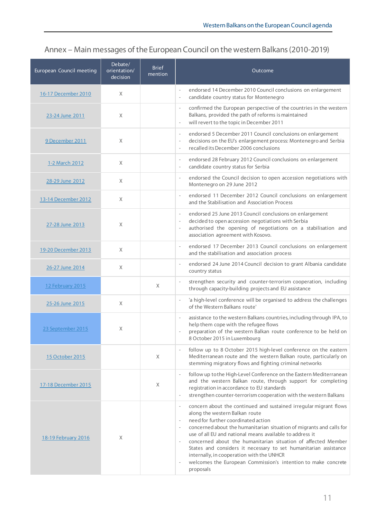### Annex – Main messages of the European Council on the western Balkans (2010-2019)

| European Council meeting | Debate/<br>orientation/<br>decision | <b>Brief</b><br>mention | Outcome                                                                                                                                                                                                                                                                                                                                                                                                                                                                                                                                                                    |
|--------------------------|-------------------------------------|-------------------------|----------------------------------------------------------------------------------------------------------------------------------------------------------------------------------------------------------------------------------------------------------------------------------------------------------------------------------------------------------------------------------------------------------------------------------------------------------------------------------------------------------------------------------------------------------------------------|
| 16-17 December 2010      | X                                   |                         | endorsed 14 December 2010 Council conclusions on enlargement<br>candidate country status for Montenegro<br>$\overline{\phantom{a}}$                                                                                                                                                                                                                                                                                                                                                                                                                                        |
| 23-24 June 2011          | X                                   |                         | confirmed the European perspective of the countries in the western<br>Balkans, provided the path of reforms is maintained<br>will revert to the topic in December 2011<br>$\overline{\phantom{a}}$                                                                                                                                                                                                                                                                                                                                                                         |
| 9 December 2011          | X                                   |                         | endorsed 5 December 2011 Council conclusions on enlargement<br>$\overline{\phantom{a}}$<br>decisions on the EU's enlargement process: Montenegro and Serbia<br>$\overline{\phantom{a}}$<br>recalled its December 2006 conclusions<br>$\overline{\phantom{a}}$                                                                                                                                                                                                                                                                                                              |
| 1-2 March 2012           | X                                   |                         | endorsed 28 February 2012 Council conclusions on enlargement<br>$\overline{\phantom{a}}$<br>candidate country status for Serbia<br>$\overline{\phantom{a}}$                                                                                                                                                                                                                                                                                                                                                                                                                |
| 28-29 June 2012          | X                                   |                         | endorsed the Council decision to open accession negotiations with<br>$\overline{\phantom{a}}$<br>Montenegro on 29 June 2012                                                                                                                                                                                                                                                                                                                                                                                                                                                |
| 13-14 December 2012      | X                                   |                         | endorsed 11 December 2012 Council conclusions on enlargement<br>and the Stabilisation and Association Process                                                                                                                                                                                                                                                                                                                                                                                                                                                              |
| 27-28 June 2013          | X                                   |                         | endorsed 25 June 2013 Council conclusions on enlargement<br>decided to open accession negotiations with Serbia<br>authorised the opening of negotiations on a stabilisation and<br>association agreement with Kosovo.                                                                                                                                                                                                                                                                                                                                                      |
| 19-20 December 2013      | X                                   |                         | endorsed 17 December 2013 Council conclusions on enlargement<br>and the stabilisation and association process                                                                                                                                                                                                                                                                                                                                                                                                                                                              |
| 26-27 June 2014          | $\times$                            |                         | endorsed 24 June 2014 Council decision to grant Albania candidate<br>country status                                                                                                                                                                                                                                                                                                                                                                                                                                                                                        |
| 12 February 2015         |                                     | X                       | strengthen security and counter-terrorism cooperation, including<br>$\overline{\phantom{a}}$<br>through capacity-building projects and EU assistance                                                                                                                                                                                                                                                                                                                                                                                                                       |
| 25-26 June 2015          | $\times$                            |                         | 'a high-level conference will be organised to address the challenges<br>$\overline{\phantom{a}}$<br>of the Western Balkans route'                                                                                                                                                                                                                                                                                                                                                                                                                                          |
| 23 September 2015        | X                                   |                         | assistance to the western Balkans countries, including through IPA, to<br>$\overline{\phantom{a}}$<br>help them cope with the refugee flows<br>preparation of the western Balkan route conference to be held on<br>8 October 2015 in Luxembourg                                                                                                                                                                                                                                                                                                                            |
| 15 October 2015          |                                     | X                       | follow up to 8 October 2015 high-level conference on the eastern<br>Mediterranean route and the western Balkan route, particularly on<br>stemming migratory flows and fighting criminal networks                                                                                                                                                                                                                                                                                                                                                                           |
| 17-18 December 2015      |                                     | Χ                       | follow up to the High-Level Conference on the Eastern Mediterranean<br>and the western Balkan route, through support for completing<br>registration in accordance to EU standards<br>strengthen counter-terrorism cooperation with the western Balkans<br>$\overline{\phantom{a}}$                                                                                                                                                                                                                                                                                         |
| 18-19 February 2016      | X                                   |                         | concern about the continued and sustained irregular migrant flows<br>along the western Balkan route<br>need for further coordinated action<br>concerned about the humanitarian situation of migrants and calls for<br>use of all EU and national means available to address it<br>concerned about the humanitarian situation of affected Member<br>States and considers it necessary to set humanitarian assistance<br>internally, in cooperation with the UNHCR<br>welcomes the European Commission's intention to make concrete<br>$\overline{\phantom{a}}$<br>proposals |